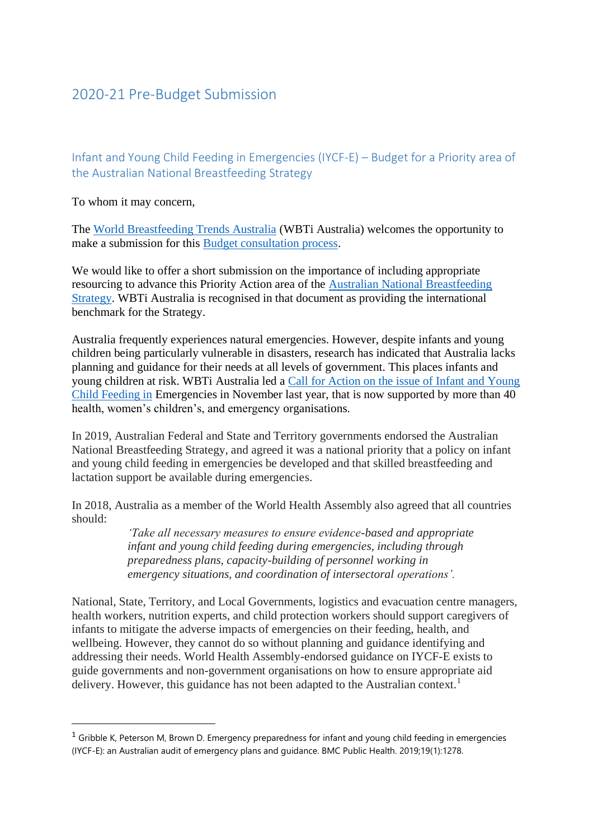## 2020-21 Pre-Budget Submission

Infant and Young Child Feeding in Emergencies (IYCF-E) – Budget for a Priority area of the Australian National Breastfeeding Strategy

To whom it may concern,

The [World Breastfeeding Trends Australia](https://wbtiaus.com/about/) (WBTi Australia) welcomes the opportunity to make a submission for this [Budget consultation process.](https://consult.treasury.gov.au/budget-policy-division/2021-22-pre-budget-submissions/)

We would like to offer a short submission on the importance of including appropriate resourcing to advance this Priority Action area of the [Australian National Breastfeeding](https://apo.org.au/node/253556)  [Strategy.](https://apo.org.au/node/253556) WBTi Australia is recognised in that document as providing the international benchmark for the Strategy.

Australia frequently experiences natural emergencies. However, despite infants and young children being particularly vulnerable in disasters, research has indicated that Australia lacks planning and guidance for their needs at all levels of government. This places infants and young children at risk. WBTi Australia led a [Call for Action on the issue of Infant and Young](https://wbtiaus.com/2020/11/12/infant-and-young-child-feeding-in-emergencies-call-for-action/)  [Child Feeding in](https://wbtiaus.com/2020/11/12/infant-and-young-child-feeding-in-emergencies-call-for-action/) Emergencies in November last year, that is now supported by more than 40 health, women's children's, and emergency organisations.

In 2019, Australian Federal and State and Territory governments endorsed the Australian National Breastfeeding Strategy, and agreed it was a national priority that a policy on infant and young child feeding in emergencies be developed and that skilled breastfeeding and lactation support be available during emergencies.

In 2018, Australia as a member of the World Health Assembly also agreed that all countries should:

> *'Take all necessary measures to ensure evidence-based and appropriate infant and young child feeding during emergencies, including through preparedness plans, capacity-building of personnel working in emergency situations, and coordination of intersectoral operations'.*

National, State, Territory, and Local Governments, logistics and evacuation centre managers, health workers, nutrition experts, and child protection workers should support caregivers of infants to mitigate the adverse impacts of emergencies on their feeding, health, and wellbeing. However, they cannot do so without planning and guidance identifying and addressing their needs. World Health Assembly-endorsed guidance on IYCF-E exists to guide governments and non-government organisations on how to ensure appropriate aid delivery. However, this guidance has not been adapted to the Australian context.<sup>1</sup>

 $1$  Gribble K, Peterson M, Brown D. Emergency preparedness for infant and young child feeding in emergencies (IYCF-E): an Australian audit of emergency plans and guidance. BMC Public Health. 2019;19(1):1278.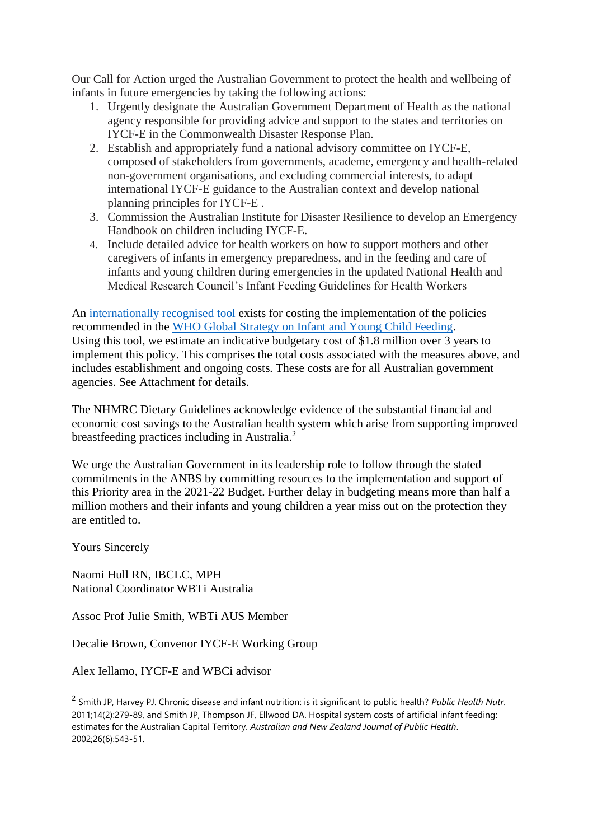Our Call for Action urged the Australian Government to protect the health and wellbeing of infants in future emergencies by taking the following actions:

- 1. Urgently designate the Australian Government Department of Health as the national agency responsible for providing advice and support to the states and territories on IYCF-E in the Commonwealth Disaster Response Plan.
- 2. Establish and appropriately fund a national advisory committee on IYCF-E, composed of stakeholders from governments, academe, emergency and health-related non-government organisations, and excluding commercial interests, to adapt international IYCF-E guidance to the Australian context and develop national planning principles for IYCF-E .
- 3. Commission the Australian Institute for Disaster Resilience to develop an Emergency Handbook on children including IYCF-E.
- 4. Include detailed advice for health workers on how to support mothers and other caregivers of infants in emergency preparedness, and in the feeding and care of infants and young children during emergencies in the updated National Health and Medical Research Council's Infant Feeding Guidelines for Health Workers

An [internationally recognised tool](https://pubmed.ncbi.nlm.nih.gov/25873985/) exists for costing the implementation of the policies recommended in the [WHO Global Strategy on Infant and Young Child Feeding.](https://www.who.int/nutrition/publications/infantfeeding/9241562218/en/) Using this tool, we estimate an indicative budgetary cost of \$1.8 million over 3 years to implement this policy. This comprises the total costs associated with the measures above, and includes establishment and ongoing costs. These costs are for all Australian government agencies. See Attachment for details.

The NHMRC Dietary Guidelines acknowledge evidence of the substantial financial and economic cost savings to the Australian health system which arise from supporting improved breastfeeding practices including in Australia.<sup>2</sup>

We urge the Australian Government in its leadership role to follow through the stated commitments in the ANBS by committing resources to the implementation and support of this Priority area in the 2021-22 Budget. Further delay in budgeting means more than half a million mothers and their infants and young children a year miss out on the protection they are entitled to.

Yours Sincerely

Naomi Hull RN, IBCLC, MPH National Coordinator WBTi Australia

Assoc Prof Julie Smith, WBTi AUS Member

Decalie Brown, Convenor IYCF-E Working Group

Alex Iellamo, IYCF-E and WBCi advisor

<sup>2</sup> Smith JP, Harvey PJ. Chronic disease and infant nutrition: is it significant to public health? *Public Health Nutr*. 2011;14(2):279-89, and Smith JP, Thompson JF, Ellwood DA. Hospital system costs of artificial infant feeding: estimates for the Australian Capital Territory. *Australian and New Zealand Journal of Public Health*. 2002;26(6):543-51.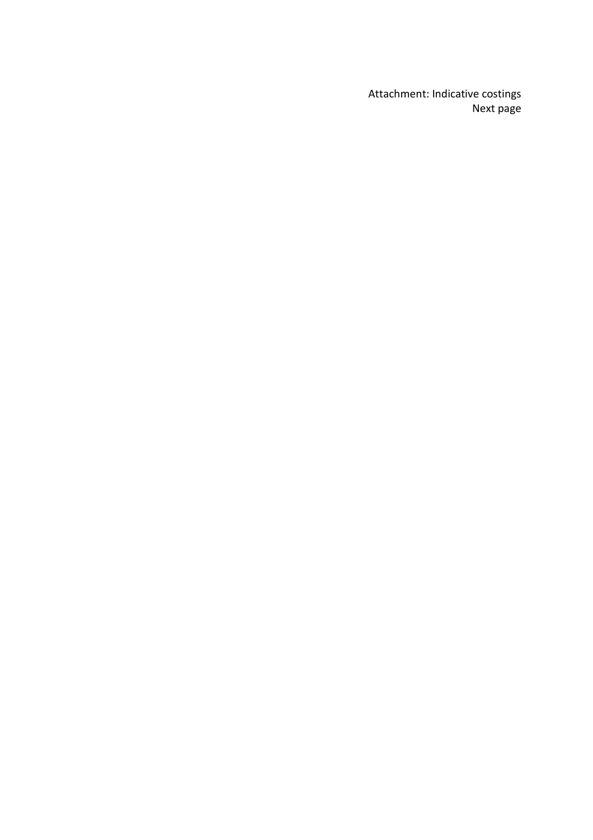Attachment: Indicative costings Next page